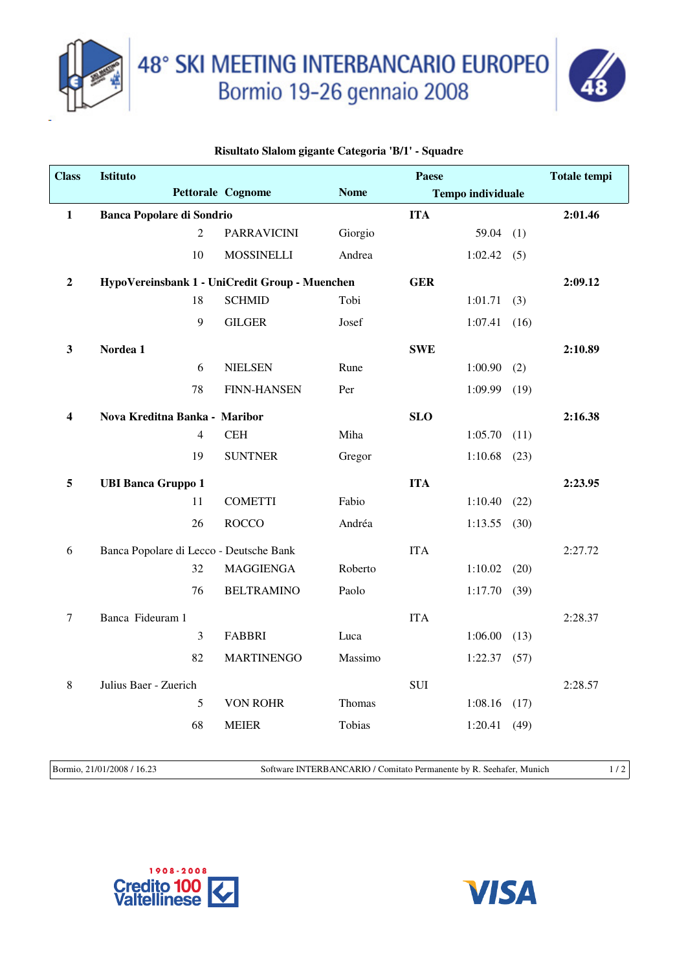

48° SKI MEETING INTERBANCARIO EUROPEO<br>Bormio 19-26 gennaio 2008



## **Risultato Slalom gigante Categoria 'B/1' - Squadre**

| <b>Class</b>     | <b>Istituto</b>                         |                |                                                |             | <b>Paese</b> |                          |      | <b>Totale tempi</b> |
|------------------|-----------------------------------------|----------------|------------------------------------------------|-------------|--------------|--------------------------|------|---------------------|
|                  |                                         |                | Pettorale Cognome                              | <b>Nome</b> |              | <b>Tempo individuale</b> |      |                     |
| 1                | <b>Banca Popolare di Sondrio</b>        |                |                                                |             | <b>ITA</b>   |                          |      | 2:01.46             |
|                  |                                         | $\overline{2}$ | <b>PARRAVICINI</b>                             | Giorgio     |              | 59.04                    | (1)  |                     |
|                  |                                         | 10             | <b>MOSSINELLI</b>                              | Andrea      |              | 1:02.42(5)               |      |                     |
| $\boldsymbol{2}$ |                                         |                | HypoVereinsbank 1 - UniCredit Group - Muenchen |             | <b>GER</b>   |                          |      | 2:09.12             |
|                  |                                         | 18             | <b>SCHMID</b>                                  | Tobi        |              | 1:01.71                  | (3)  |                     |
|                  |                                         | 9              | <b>GILGER</b>                                  | Josef       |              | 1:07.41                  | (16) |                     |
| 3                | Nordea 1                                |                |                                                |             | <b>SWE</b>   |                          |      | 2:10.89             |
|                  |                                         | 6              | <b>NIELSEN</b>                                 | Rune        |              | 1:00.90                  | (2)  |                     |
|                  |                                         | 78             | <b>FINN-HANSEN</b>                             | Per         |              | 1:09.99                  | (19) |                     |
| 4                | Nova Kreditna Banka - Maribor           |                |                                                |             | <b>SLO</b>   |                          |      | 2:16.38             |
|                  |                                         | 4              | <b>CEH</b>                                     | Miha        |              | 1:05.70                  | (11) |                     |
|                  |                                         | 19             | <b>SUNTNER</b>                                 | Gregor      |              | 1:10.68                  | (23) |                     |
| 5                | <b>UBI Banca Gruppo 1</b>               |                |                                                |             | <b>ITA</b>   |                          |      | 2:23.95             |
|                  |                                         | 11             | <b>COMETTI</b>                                 | Fabio       |              | 1:10.40                  | (22) |                     |
|                  |                                         | 26             | <b>ROCCO</b>                                   | Andréa      |              | $1:13.55$ (30)           |      |                     |
| 6                | Banca Popolare di Lecco - Deutsche Bank |                |                                                |             | <b>ITA</b>   |                          |      | 2:27.72             |
|                  |                                         | 32             | <b>MAGGIENGA</b>                               | Roberto     |              | 1:10.02                  | (20) |                     |
|                  |                                         | 76             | <b>BELTRAMINO</b>                              | Paolo       |              | 1:17.70                  | (39) |                     |
| 7                | Banca Fideuram 1                        |                |                                                |             | <b>ITA</b>   |                          |      | 2:28.37             |
|                  |                                         | 3              | <b>FABBRI</b>                                  | Luca        |              | 1:06.00                  | (13) |                     |
|                  |                                         | 82             | <b>MARTINENGO</b>                              | Massimo     |              | 1:22.37                  | (57) |                     |
| 8                | Julius Baer - Zuerich                   |                |                                                |             | <b>SUI</b>   |                          |      | 2:28.57             |
|                  |                                         | 5              | <b>VON ROHR</b>                                | Thomas      |              | $1:08.16$ (17)           |      |                     |
|                  |                                         | 68             | <b>MEIER</b>                                   | Tobias      |              | 1:20.41                  | (49) |                     |
|                  |                                         |                |                                                |             |              |                          |      |                     |

Bormio, 21/01/2008 / 16.23 Software INTERBANCARIO / Comitato Permanente by R. Seehafer, Munich 1 / 2